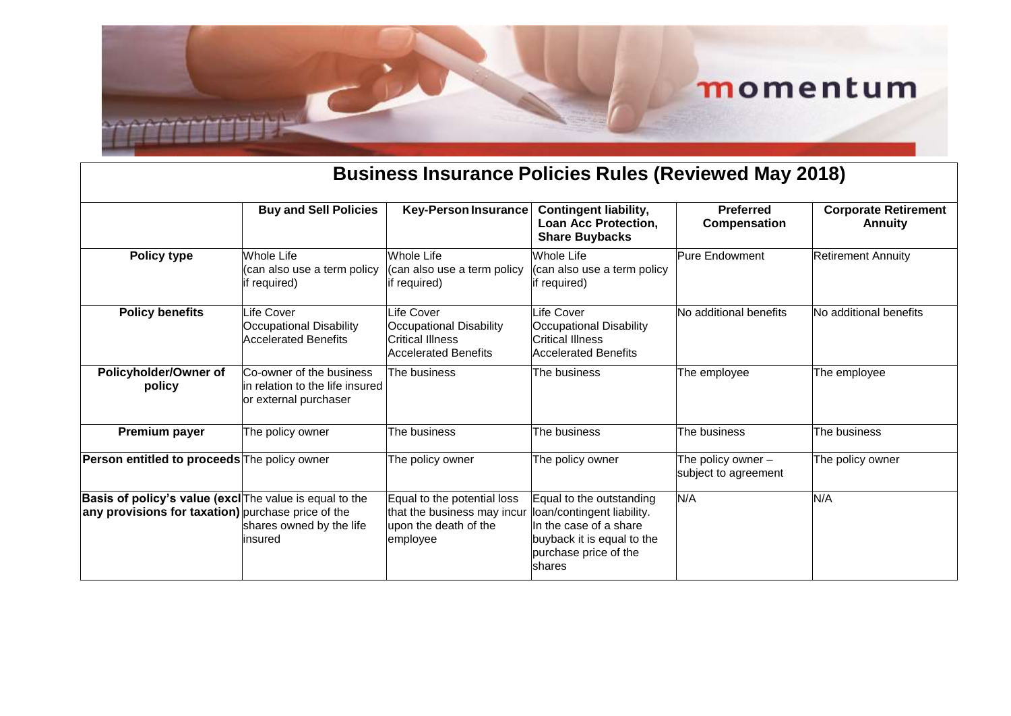#### **Business Insurance Policies Rules (Reviewed May 2018)**

|                                                                                                                      | <b>Buy and Sell Policies</b>                                                          | <b>Key-Person Insurance</b>                                                                     | <b>Contingent liability,</b><br>Loan Acc Protection,                                                                                               | <b>Preferred</b><br>Compensation             | <b>Corporate Retirement</b><br><b>Annuity</b> |
|----------------------------------------------------------------------------------------------------------------------|---------------------------------------------------------------------------------------|-------------------------------------------------------------------------------------------------|----------------------------------------------------------------------------------------------------------------------------------------------------|----------------------------------------------|-----------------------------------------------|
|                                                                                                                      |                                                                                       |                                                                                                 | <b>Share Buybacks</b>                                                                                                                              |                                              |                                               |
| Policy type                                                                                                          | <b>Whole Life</b><br>(can also use a term policy<br>if required)                      | <b>Whole Life</b><br>(can also use a term policy<br>if required)                                | <b>Whole Life</b><br>(can also use a term policy<br>if required)                                                                                   | Pure Endowment                               | <b>Retirement Annuity</b>                     |
| <b>Policy benefits</b>                                                                                               | Life Cover<br><b>Occupational Disability</b><br>Accelerated Benefits                  | Life Cover<br>Occupational Disability<br>Critical Illness<br><b>Accelerated Benefits</b>        | <sub>-</sub> ife Cover<br><b>Occupational Disability</b><br><b>Critical Illness</b><br>Accelerated Benefits                                        | No additional benefits                       | No additional benefits                        |
| Policyholder/Owner of<br>policy                                                                                      | Co-owner of the business<br>lin relation to the life insured<br>or external purchaser | The business                                                                                    | The business                                                                                                                                       | The employee                                 | The employee                                  |
| Premium payer                                                                                                        | The policy owner                                                                      | The business                                                                                    | The business                                                                                                                                       | The business                                 | The business                                  |
| Person entitled to proceeds The policy owner                                                                         |                                                                                       | The policy owner                                                                                | The policy owner                                                                                                                                   | The policy owner $-$<br>subject to agreement | The policy owner                              |
| <b>Basis of policy's value (excl</b> The value is equal to the<br>any provisions for taxation) purchase price of the | shares owned by the life<br>insured                                                   | Equal to the potential loss<br>that the business may incur<br>upon the death of the<br>employee | Equal to the outstanding<br>loan/contingent liability.<br>In the case of a share<br>buyback it is equal to the<br>purchase price of the<br>Ishares | N/A                                          | N/A                                           |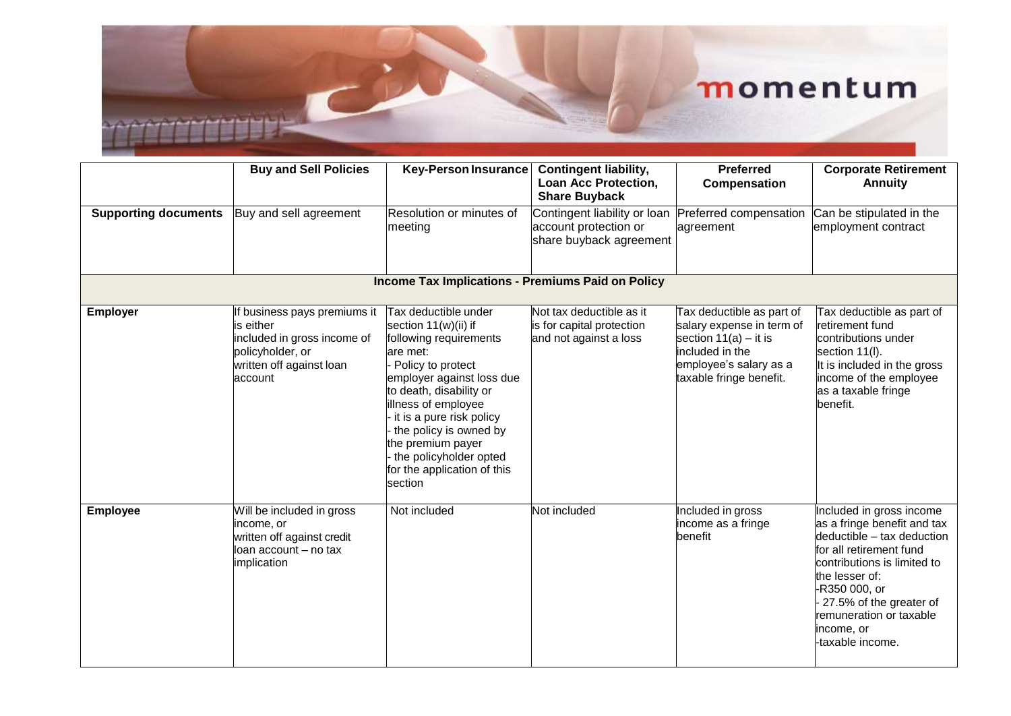|                                                          | <b>Buy and Sell Policies</b>                                                                                                        | <b>Key-Person Insurance</b>                                                                                                                                                                                                                                                                                                                  | <b>Contingent liability,</b><br>Loan Acc Protection,<br><b>Share Buyback</b>     | <b>Preferred</b><br>Compensation                                                                                                                             | <b>Corporate Retirement</b><br><b>Annuity</b>                                                                                                                                                                                                                              |  |
|----------------------------------------------------------|-------------------------------------------------------------------------------------------------------------------------------------|----------------------------------------------------------------------------------------------------------------------------------------------------------------------------------------------------------------------------------------------------------------------------------------------------------------------------------------------|----------------------------------------------------------------------------------|--------------------------------------------------------------------------------------------------------------------------------------------------------------|----------------------------------------------------------------------------------------------------------------------------------------------------------------------------------------------------------------------------------------------------------------------------|--|
| <b>Supporting documents</b>                              | Buy and sell agreement                                                                                                              | Resolution or minutes of<br>meeting                                                                                                                                                                                                                                                                                                          | Contingent liability or loan<br>account protection or<br>share buyback agreement | Preferred compensation<br>agreement                                                                                                                          | Can be stipulated in the<br>employment contract                                                                                                                                                                                                                            |  |
| <b>Income Tax Implications - Premiums Paid on Policy</b> |                                                                                                                                     |                                                                                                                                                                                                                                                                                                                                              |                                                                                  |                                                                                                                                                              |                                                                                                                                                                                                                                                                            |  |
| <b>Employer</b>                                          | If business pays premiums it<br>is either<br>included in gross income of<br>policyholder, or<br>written off against loan<br>account | <b>Tax deductible under</b><br>section 11(w)(ii) if<br>following requirements<br>are met:<br>Policy to protect<br>employer against loss due<br>to death, disability or<br>illness of employee<br>it is a pure risk policy<br>the policy is owned by<br>the premium payer<br>the policyholder opted<br>for the application of this<br>section | Not tax deductible as it<br>is for capital protection<br>and not against a loss  | Tax deductible as part of<br>salary expense in term of<br>section $11(a) - it$ it is<br>included in the<br>employee's salary as a<br>taxable fringe benefit. | Tax deductible as part of<br>retirement fund<br>contributions under<br>section 11(I).<br>It is included in the gross<br>income of the employee<br>as a taxable fringe<br>benefit.                                                                                          |  |
| <b>Employee</b>                                          | Will be included in gross<br>income, or<br>written off against credit<br>lloan account – no tax<br>implication                      | Not included                                                                                                                                                                                                                                                                                                                                 | Not included                                                                     | Included in gross<br>income as a fringe<br>benefit                                                                                                           | Included in gross income<br>as a fringe benefit and tax<br>deductible - tax deduction<br>for all retirement fund<br>contributions is limited to<br>the lesser of:<br>-R350 000, or<br>27.5% of the greater of<br>remuneration or taxable<br>income, or<br>-taxable income. |  |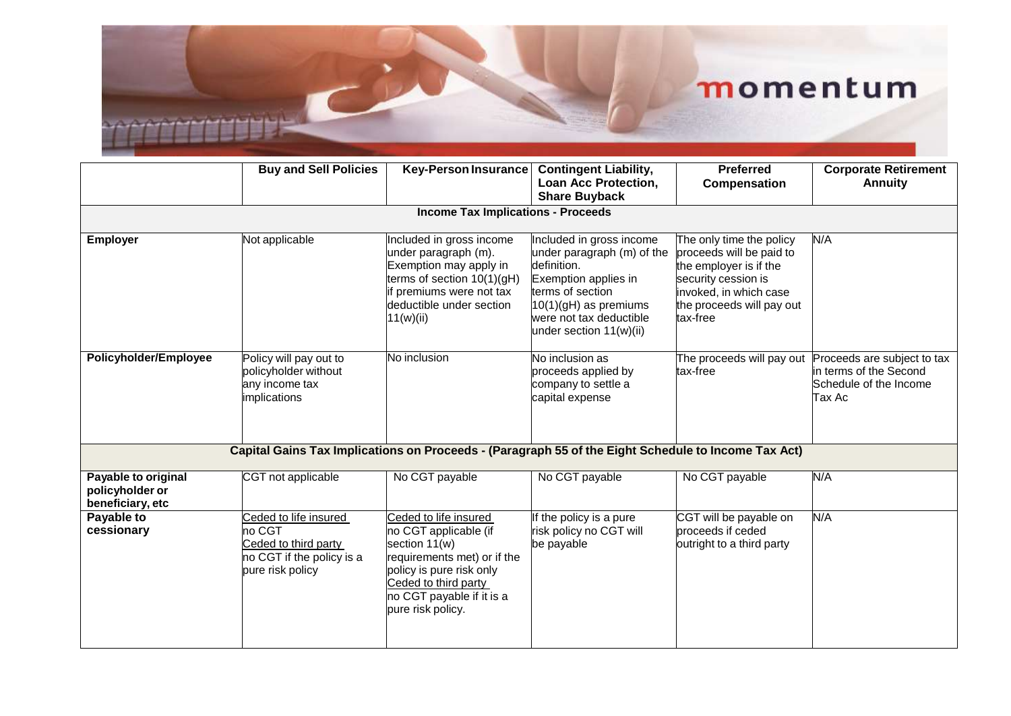|                                                            | <b>Buy and Sell Policies</b>                                                                             | <b>Key-Person Insurance</b>                                                                                                                                                                          | <b>Contingent Liability,</b><br>Loan Acc Protection,<br><b>Share Buyback</b>                                                                                                                       | <b>Preferred</b><br>Compensation                                                                                                                                         | <b>Corporate Retirement</b><br><b>Annuity</b>                                             |  |
|------------------------------------------------------------|----------------------------------------------------------------------------------------------------------|------------------------------------------------------------------------------------------------------------------------------------------------------------------------------------------------------|----------------------------------------------------------------------------------------------------------------------------------------------------------------------------------------------------|--------------------------------------------------------------------------------------------------------------------------------------------------------------------------|-------------------------------------------------------------------------------------------|--|
| <b>Income Tax Implications - Proceeds</b>                  |                                                                                                          |                                                                                                                                                                                                      |                                                                                                                                                                                                    |                                                                                                                                                                          |                                                                                           |  |
| <b>Employer</b>                                            | Not applicable                                                                                           | Included in gross income<br>under paragraph (m).<br>Exemption may apply in<br>terms of section 10(1)(gH)<br>if premiums were not tax<br>deductible under section<br>11(w)(ii)                        | Included in gross income<br>under paragraph (m) of the<br>definition.<br>Exemption applies in<br>terms of section<br>$10(1)(gH)$ as premiums<br>were not tax deductible<br>under section 11(w)(ii) | The only time the policy<br>proceeds will be paid to<br>the employer is if the<br>security cession is<br>invoked, in which case<br>the proceeds will pay out<br>tax-free | N/A                                                                                       |  |
| Policyholder/Employee                                      | Policy will pay out to<br>policyholder without<br>any income tax<br>implications                         | No inclusion                                                                                                                                                                                         | No inclusion as<br>proceeds applied by<br>company to settle a<br>capital expense                                                                                                                   | The proceeds will pay out<br>tax-free                                                                                                                                    | Proceeds are subject to tax<br>in terms of the Second<br>Schedule of the Income<br>Tax Ac |  |
|                                                            | Capital Gains Tax Implications on Proceeds - (Paragraph 55 of the Eight Schedule to Income Tax Act)      |                                                                                                                                                                                                      |                                                                                                                                                                                                    |                                                                                                                                                                          |                                                                                           |  |
| Payable to original<br>policyholder or<br>beneficiary, etc | CGT not applicable                                                                                       | No CGT payable                                                                                                                                                                                       | No CGT payable                                                                                                                                                                                     | No CGT payable                                                                                                                                                           | N/A                                                                                       |  |
| Payable to<br>cessionary                                   | Ceded to life insured<br>no CGT<br>Ceded to third party<br>no CGT if the policy is a<br>pure risk policy | Ceded to life insured<br>no CGT applicable (if<br>section 11(w)<br>requirements met) or if the<br>policy is pure risk only<br>Ceded to third party<br>no CGT payable if it is a<br>pure risk policy. | If the policy is a pure<br>risk policy no CGT will<br>be payable                                                                                                                                   | CGT will be payable on<br>proceeds if ceded<br>outright to a third party                                                                                                 | N/A                                                                                       |  |